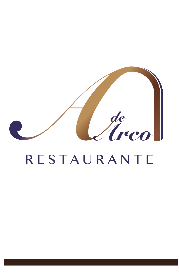

# RESTAURANTE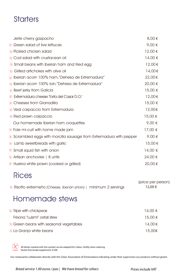## **Starters**

| Jerte cherry gazpacho                                                       | 8,00€   |
|-----------------------------------------------------------------------------|---------|
| i⊗ Green salad of live lettuces                                             | 9,00 €  |
| $\otimes$ Pickled chicken salad                                             | 12,00€  |
| $\otimes$ Cod salad with crustacean oil                                     | 14,00 € |
| ◈ Small beans with Iberian ham and fried egg                                | 12,00€  |
| i⊗ Grilled artichokes with olive oil                                        | 14,00€  |
| $\otimes$ Iberian acorn 100% ham,"Dehesa de Extremadura"                    | 22,00€  |
| $\otimes$ Iberian acorn 100% Ioin,"Dehesa de Extremadura"                   | 20,00 € |
| $\otimes$ Beef jerky from Galicia                                           | 15,00 € |
| & Extremadura cheese Torta del Casar D.O.'                                  | 12,00€  |
| Cheeses from Granadilla                                                     | 15,00 € |
| $\otimes$ Veal carpaccio from Extremadura                                   | 12,00€  |
| in Red prawn carpaccio                                                      | 15,00 € |
| Our homemade Iberian ham croquettes                                         | 9,00 €  |
| $\otimes$ Foie mi-cuit with home made jam                                   | 17,00 € |
| $\otimes$ Scrambled eggs with morcilla sausage from Extremadura with pepper | 9,00€   |
| $\circledR$ Lamb sweetbreads with garlic                                    | 15,00€  |
| $\circledast$ Small squid fish with onion                                   | 14,00 € |
| $\otimes$ Artisan anchovies   8 units                                       | 24,00 € |
| $\otimes$ Huelva white prawn (cooked or grilled)                            | 20,00€  |

### **Rices**

|                                                                    | (price per person) |
|--------------------------------------------------------------------|--------------------|
| ® Risotto extremeño (Cheese, Iberian sirloin)   minimum 2 servings | 12,00 €            |

### Homemade stews

| $\otimes$ Tripe with chickpeas                   | 14,00 €     |
|--------------------------------------------------|-------------|
| Frixona "Luismi" oxtail stew                     | $15,00 \in$ |
| $\circledR$ Green beans with seasonal vegetables | 14.00 €     |
| $\otimes$ La Granja white beans                  | 15,00€      |



All dishes marked with this symbol can be adapted for Celiacs. Notify when ordering. Gluten free bread supplement: 0,50€

Our restaurante collaborates directly with the Celiac Association of Extremadura indicating under their supervision our products without gluten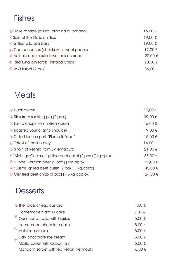## Fishes

| $\otimes$ Hake to taste (grilled, bilbaina or romana) | 16,00 € |
|-------------------------------------------------------|---------|
| $\otimes$ Sole of the Galician Rías                   | 19,00 € |
| $\otimes$ Grilled wild sea bass                       | 19,00 € |
| $\otimes$ Cod cocochas (cheek) with sweet pepper      | 17,00 € |
| ⊗ Author's cod roasted over oak charcoal              | 20,00 € |
| ® Red tuna loin tataki "Petaca Chico"                 | 20,00 € |
| $\otimes$ Wild turbot (2 pax)                         | 36,00€  |

### **Meats**

| $\otimes$ Duck breast                                                 | $17,00 \in$ |
|-----------------------------------------------------------------------|-------------|
| $\otimes$ Ribs from suckling pig (2 pax.)                             | 39,00 €     |
| $\otimes$ Lamb chops from Extremadura                                 | $16,00 \in$ |
| $\otimes$ Roasted young lamb shoulder                                 | 19,00 €     |
| © Grilled Iberian pork "Pluma ibérica"                                | $15,00 \in$ |
| $\otimes$ Tataki of Iberian prey                                      | $14,00 \in$ |
| $\otimes$ Sirloin of Retinta from Extremadura                         | 21,00 €     |
| $\otimes$ "Mahugo Gourmet" grilled beef cutlet (2 pax.) (1 kg. aprox) | 38,00 €     |
| $\otimes$ T-Bone Galician beef (2 pax.) (1 kg. aprox)                 | 42,00 €     |
| $\otimes$ "Luismi" grilled beef cutlet (2 pax.) (1 kg. aprox)         | 45,00€      |
| $\otimes$ Certified beef chop (3 pax) (1.5 kg approx.)                | 124,00€     |

### **Desserts**

|          | $\otimes$ The "classic" egg custard        | 4,00 €     |
|----------|--------------------------------------------|------------|
|          | Homemade tiramisu cake                     | 5,00 €     |
|          | $\frac{1}{2}$ Our cheese cake with berries | 5,00 €     |
|          | Homemade chocolate cake                    | 5,00 €     |
| $\infty$ | Violet ice cream                           | 5,00 €     |
|          | Dark chocolate ice cream                   | 5,00 €     |
|          | Mojito sorbet with Cuban rum               | $6,00 \in$ |
|          | Mandarin sorbet with red Petroni vermouth  | $6,00 \in$ |
|          |                                            |            |